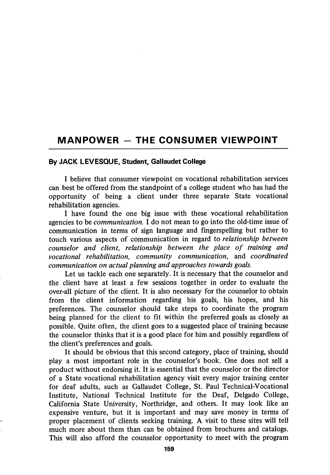## MANPOWER - THE CONSUMER VIEWPOINT

## By JACK LEVESQUE, Student, Gallaudet College

I believe that consumer viewpoint on vocational rehabilitation services can best be offered from the standpoint of a college student who has had the opportunity of being a client under three separate State vocational rehabilitation agencies.

I have found the one big issue with these vocational rehabilitation agencies to be communication. I do not mean to go into the old-time issue of communication in terms of sign language and fingerspelling but rather to touch various aspects of communication in regard to relationship between counselor and client, relationship between the place of training and vocational rehabilitation, community communication, and coordinated communication on actual planning and approaches towards goals.

Let us tackle each one separately. It is necessary that the counselor and the client have at least a few sessions together in order to evaluate the over-all picture of the client. It is also necessary for the counselor to obtain from the client information regarding his goals, his hopes, and his preferences. The counselor should take steps to coordinate the program being planned for the client to fit within the preferred goals as closely as possible. Quite often, the client goes to a suggested place of training because the counselor thinks that it is a good place for him and possibly regardless of the client's preferences and goals.

It should be obvious that this second category, place of training, should play a most important role in the counselor's book. One does not sell a product without endorsing it. It is essential that the counselor or the director of a State vocational rehabilitation agency visit every major training center for deaf adults, such as Gallaudet College, St. Paul Technical-Vocational Institute, National Technical Institute for the Deaf, Delgado College, California State University, Northridge, and others. It may look like an expensive venture, but it is important and may save money in terms of proper placement of clients seeking training. A visit to these sites will tell much more about them than can be obtained from brochures and catalogs. This will also afford the counselor opportunity to meet with the program